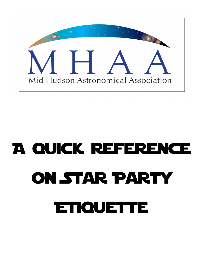

# A quick reference ON STAR PARTY **ETIQUETTE**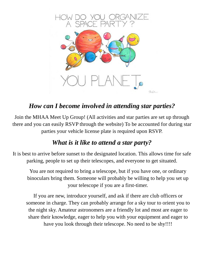

# *How can I become involved in attending star parties?*

Join the MHAA Meet Up Group! (All activities and star parties are set up through there and you can easily RSVP through the website) To be accounted for during star parties your vehicle license plate is required upon RSVP.

# *What is it like to attend a star party?*

It is best to arrive before sunset to the designated location. This allows time for safe parking, people to set up their telescopes, and everyone to get situated.

You are not required to bring a telescope, but if you have one, or ordinary binoculars bring them. Someone will probably be willing to help you set up your telescope if you are a first-timer.

If you are new, introduce yourself, and ask if there are club officers or someone in charge. They can probably arrange for a sky tour to orient you to the night sky. Amateur astronomers are a friendly lot and most are eager to share their knowledge, eager to help you with your equipment and eager to have you look through their telescope. No need to be shy!!!!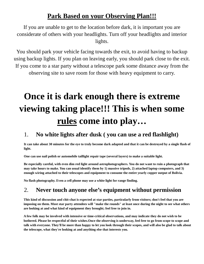# **Park Based on your Observing Plan!!!**

If you are unable to get to the location before dark, it is important you are considerate of others with your headlights. Turn off your headlights and interior lights.

You should park your vehicle facing towards the exit, to avoid having to backup using backup lights. If you plan on leaving early, you should park close to the exit. If you come to a star party without a telescope park some distance away from the observing site to save room for those with heavy equipment to carry.

# **Once it is dark enough there is extreme viewing taking place!!! This is when some rules come into play…**

#### 1. **No white lights after dusk ( you can use a red flashlight)**

**It can take about 30 minutes for the eye to truly become dark adapted and that it can be destroyed by a single flash of light.** 

**One can use nail polish or automobile taillight repair tape (several layers) to make a suitable light.** 

**Be especially careful, with even dim red light around astrophotographers. You do not want to ruin a photograph that may take hours to make. You can usual identify them by 1) massive tripods, 2) attached laptop computers, and 3) enough wiring attached to their telescopes and equipment to consume the entire yearly copper output of Bolivia.** 

**No flash photography. Even a cell phone may use a white light for range finding.** 

# 2. **Never touch anyone else's equipment without permission**

**This kind of discussion and chit-chat is expected at star parties, particularly from visitors; don't feel that you are imposing on them. Most star party attendees will "make the rounds" at least once during the night to see what others are looking at and what kind of equipment they brought; feel free to join in.** 

**A few folk may be involved with intensive or time-critical observations, and may indicate they do not wish to be bothered. Please be respectful of their wishes.Once the observing is underway, feel free to go from scope to scope and talk with everyone. They'll be more than happy to let you look through their scopes, and will also be glad to talk about the telescope, what they're looking at and anything else that interests you.**